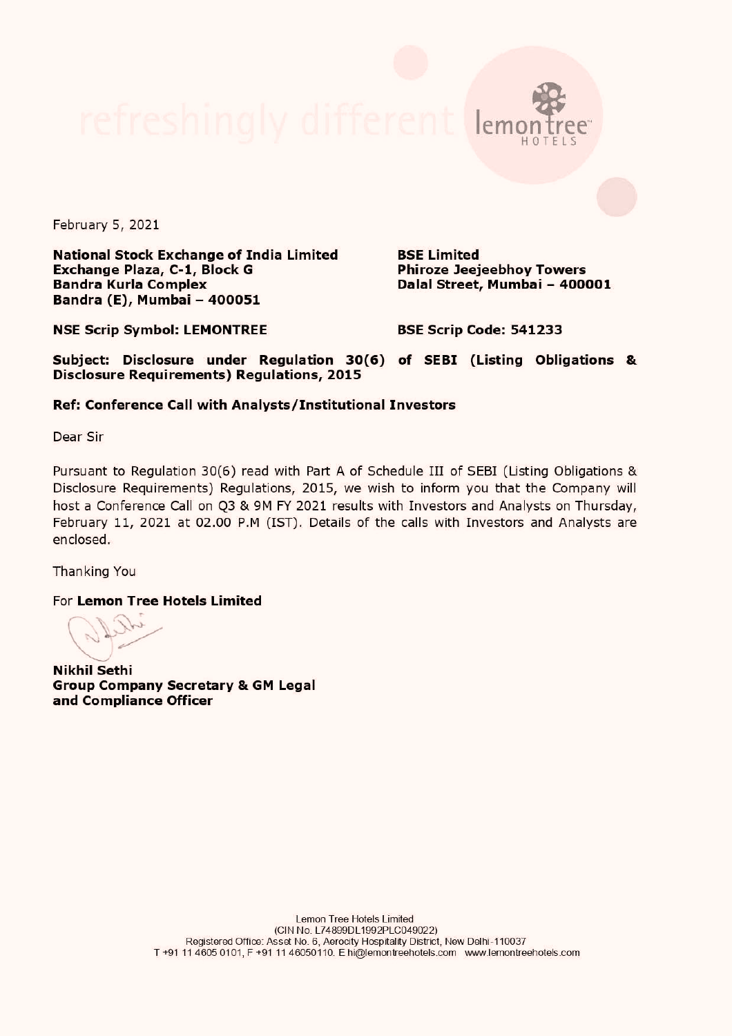February 5, 2021

National Stock Exchange of India Limited BSE Limited Exchange Plaza, C-1, Block G Phiroze Jeejeebhoy Towers Bandra Kurla Complex **Exercise Street, Mumbai - 400001** Bandra (E), Mumbai - 400051

emontree HOTELS

NSE Scrip Symbol: LEMONTREE BSE Scrip Code: 541233

Subject: Disclosure under Regulation 30(6) of SEBI (Listing Obligations & Disclosure Requirements) Regulations, 2015

## Ref: Conference Call with Analysts/Institutional Investors

Dear Sir

Pursuant to Regulation 30(6) read with Part A of Schedule III of SEBI (Listing Obligations & Disclosure Requirements) Regulations, 2015, we wish to inform you that the Company will host a Conference Call on Q3 & 9M FY 2021 results with Investors and Analysts on Thursday, February 11, 2021 at 02.00 P.M (IST). Details of the calls with Investors and Analysts are enclosed.

Thanking You

For Lemon Tree Hotels Limited

Nikhil Sethi Group Company Secretary & GM Legal and Compliance Officer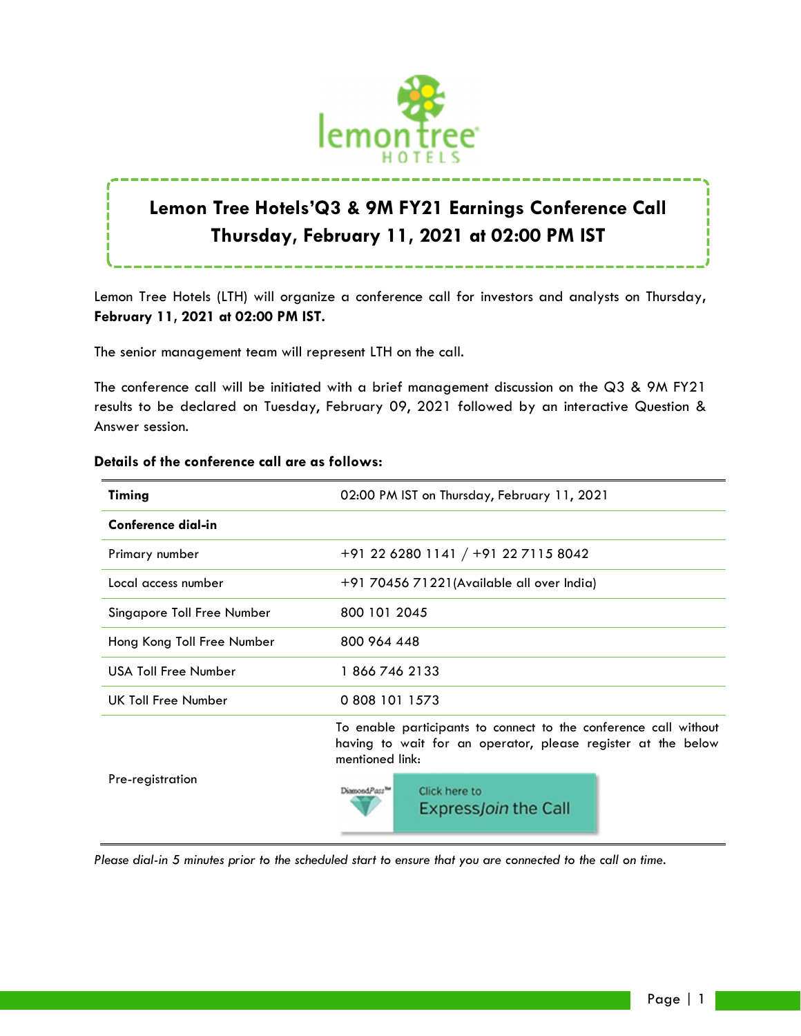

# **Lemon Tree Hotels'Q3 & 9M FY21 Earnings Conference Call Thursday, February 11, 2021 at 02:00 PM IST**

Lemon Tree Hotels (LTH) will organize a conference call for investors and analysts on Thursday**, February 11, 2021 at 02:00 PM IST.**

The senior management team will represent LTH on the call.

The conference call will be initiated with a brief management discussion on the Q3 & 9M FY21 results to be declared on Tuesday, February 09, 2021 followed by an interactive Question & Answer session.

| Timing                     | 02:00 PM IST on Thursday, February 11, 2021                                                                                                         |
|----------------------------|-----------------------------------------------------------------------------------------------------------------------------------------------------|
| Conference dial-in         |                                                                                                                                                     |
| Primary number             | +91 22 6280 1141 / +91 22 7115 8042                                                                                                                 |
| Local access number        | +91 70456 71221 (Available all over India)                                                                                                          |
| Singapore Toll Free Number | 800 101 2045                                                                                                                                        |
| Hong Kong Toll Free Number | 800 964 448                                                                                                                                         |
| USA Toll Free Number       | 18667462133                                                                                                                                         |
| UK Toll Free Number        | 0 808 101 1573                                                                                                                                      |
|                            | To enable participants to connect to the conference call without<br>having to wait for an operator, please register at the below<br>mentioned link: |
| Pre-registration           | DiamondPass <sup>TH</sup><br>Click here to<br><b>ExpressJoin the Call</b>                                                                           |

## **Details of the conference call are as follows:**

*Please dial-in 5 minutes prior to the scheduled start to ensure that you are connected to the call on time.*